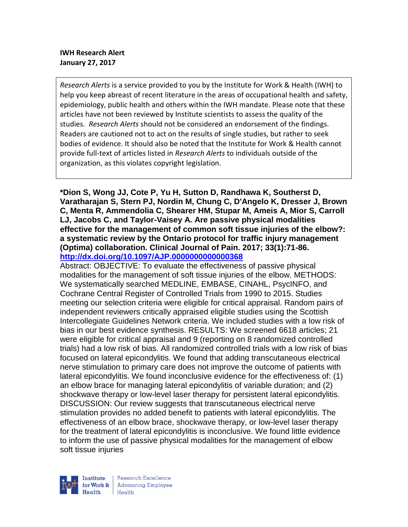# **IWH Research Alert January 27, 2017**

*Research Alerts* is a service provided to you by the Institute for Work & Health (IWH) to help you keep abreast of recent literature in the areas of occupational health and safety, epidemiology, public health and others within the IWH mandate. Please note that these articles have not been reviewed by Institute scientists to assess the quality of the studies. *Research Alerts* should not be considered an endorsement of the findings. Readers are cautioned not to act on the results of single studies, but rather to seek bodies of evidence. It should also be noted that the Institute for Work & Health cannot provide full-text of articles listed in *Research Alerts* to individuals outside of the organization, as this violates copyright legislation.

**\*Dion S, Wong JJ, Cote P, Yu H, Sutton D, Randhawa K, Southerst D, Varatharajan S, Stern PJ, Nordin M, Chung C, D'Angelo K, Dresser J, Brown C, Menta R, Ammendolia C, Shearer HM, Stupar M, Ameis A, Mior S, Carroll LJ, Jacobs C, and Taylor-Vaisey A. Are passive physical modalities effective for the management of common soft tissue injuries of the elbow?: a systematic review by the Ontario protocol for traffic injury management (Optima) collaboration. Clinical Journal of Pain. 2017; 33(1):71-86. <http://dx.doi.org/10.1097/AJP.0000000000000368>**

Abstract: OBJECTIVE: To evaluate the effectiveness of passive physical modalities for the management of soft tissue injuries of the elbow. METHODS: We systematically searched MEDLINE, EMBASE, CINAHL, PsycINFO, and Cochrane Central Register of Controlled Trials from 1990 to 2015. Studies meeting our selection criteria were eligible for critical appraisal. Random pairs of independent reviewers critically appraised eligible studies using the Scottish Intercollegiate Guidelines Network criteria. We included studies with a low risk of bias in our best evidence synthesis. RESULTS: We screened 6618 articles; 21 were eligible for critical appraisal and 9 (reporting on 8 randomized controlled trials) had a low risk of bias. All randomized controlled trials with a low risk of bias focused on lateral epicondylitis. We found that adding transcutaneous electrical nerve stimulation to primary care does not improve the outcome of patients with lateral epicondylitis. We found inconclusive evidence for the effectiveness of: (1) an elbow brace for managing lateral epicondylitis of variable duration; and (2) shockwave therapy or low-level laser therapy for persistent lateral epicondylitis. DISCUSSION: Our review suggests that transcutaneous electrical nerve stimulation provides no added benefit to patients with lateral epicondylitis. The effectiveness of an elbow brace, shockwave therapy, or low-level laser therapy for the treatment of lateral epicondylitis is inconclusive. We found little evidence to inform the use of passive physical modalities for the management of elbow soft tissue injuries

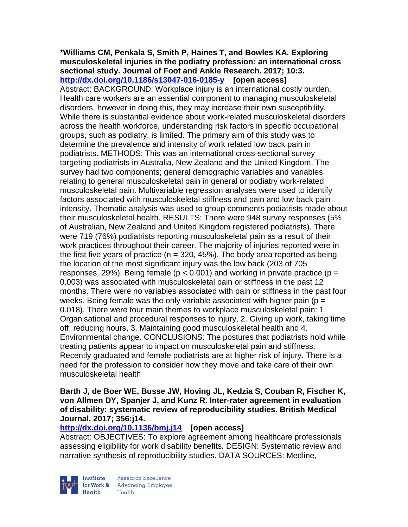## **\*Williams CM, Penkala S, Smith P, Haines T, and Bowles KA. Exploring musculoskeletal injuries in the podiatry profession: an international cross sectional study. Journal of Foot and Ankle Research. 2017; 10:3. <http://dx.doi.org/10.1186/s13047-016-0185-y>[open access]** Abstract: BACKGROUND: Workplace injury is an international costly burden. Health care workers are an essential component to managing musculoskeletal disorders, however in doing this, they may increase their own susceptibility. While there is substantial evidence about work-related musculoskeletal disorders across the health workforce, understanding risk factors in specific occupational groups, such as podiatry, is limited. The primary aim of this study was to determine the prevalence and intensity of work related low back pain in podiatrists. METHODS: This was an international cross-sectional survey targeting podiatrists in Australia, New Zealand and the United Kingdom. The survey had two components; general demographic variables and variables relating to general musculoskeletal pain in general or podiatry work-related musculoskeletal pain. Multivariable regression analyses were used to identify factors associated with musculoskeletal stiffness and pain and low back pain intensity. Thematic analysis was used to group comments podiatrists made about their musculoskeletal health. RESULTS: There were 948 survey responses (5% of Australian, New Zealand and United Kingdom registered podiatrists). There were 719 (76%) podiatrists reporting musculoskeletal pain as a result of their work practices throughout their career. The majority of injuries reported were in the first five years of practice ( $n = 320, 45\%$ ). The body area reported as being the location of the most significant injury was the low back (203 of 705 responses, 29%). Being female ( $p < 0.001$ ) and working in private practice ( $p =$ 0.003) was associated with musculoskeletal pain or stiffness in the past 12 months. There were no variables associated with pain or stiffness in the past four weeks. Being female was the only variable associated with higher pain ( $p =$ 0.018). There were four main themes to workplace musculoskeletal pain: 1. Organisational and procedural responses to injury, 2. Giving up work, taking time off, reducing hours, 3. Maintaining good musculoskeletal health and 4. Environmental change. CONCLUSIONS: The postures that podiatrists hold while treating patients appear to impact on musculoskeletal pain and stiffness. Recently graduated and female podiatrists are at higher risk of injury. There is a need for the profession to consider how they move and take care of their own musculoskeletal health

**Barth J, de Boer WE, Busse JW, Hoving JL, Kedzia S, Couban R, Fischer K, von Allmen DY, Spanjer J, and Kunz R. Inter-rater agreement in evaluation of disability: systematic review of reproducibility studies. British Medical Journal. 2017; 356:j14.**

# **<http://dx.doi.org/10.1136/bmj.j14>[open access]**

Abstract: OBJECTIVES: To explore agreement among healthcare professionals assessing eligibility for work disability benefits. DESIGN: Systematic review and narrative synthesis of reproducibility studies. DATA SOURCES: Medline,



Research Excellence for Work & | Advancing Employee Health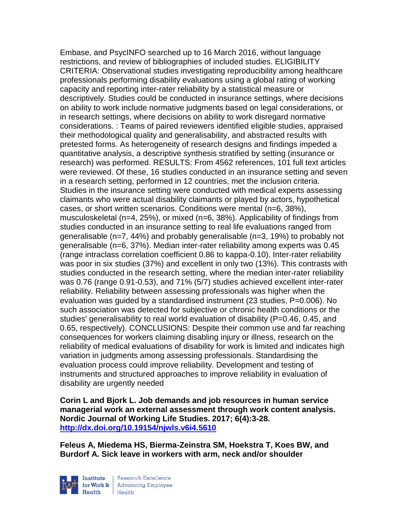Embase, and PsycINFO searched up to 16 March 2016, without language restrictions, and review of bibliographies of included studies. ELIGIBILITY CRITERIA: Observational studies investigating reproducibility among healthcare professionals performing disability evaluations using a global rating of working capacity and reporting inter-rater reliability by a statistical measure or descriptively. Studies could be conducted in insurance settings, where decisions on ability to work include normative judgments based on legal considerations, or in research settings, where decisions on ability to work disregard normative considerations. : Teams of paired reviewers identified eligible studies, appraised their methodological quality and generalisability, and abstracted results with pretested forms. As heterogeneity of research designs and findings impeded a quantitative analysis, a descriptive synthesis stratified by setting (insurance or research) was performed. RESULTS: From 4562 references, 101 full text articles were reviewed. Of these, 16 studies conducted in an insurance setting and seven in a research setting, performed in 12 countries, met the inclusion criteria. Studies in the insurance setting were conducted with medical experts assessing claimants who were actual disability claimants or played by actors, hypothetical cases, or short written scenarios. Conditions were mental (n=6, 38%), musculoskeletal (n=4, 25%), or mixed (n=6, 38%). Applicability of findings from studies conducted in an insurance setting to real life evaluations ranged from generalisable (n=7, 44%) and probably generalisable (n=3, 19%) to probably not generalisable (n=6, 37%). Median inter-rater reliability among experts was 0.45 (range intraclass correlation coefficient 0.86 to kappa-0.10). Inter-rater reliability was poor in six studies (37%) and excellent in only two (13%). This contrasts with studies conducted in the research setting, where the median inter-rater reliability was 0.76 (range 0.91-0.53), and 71% (5/7) studies achieved excellent inter-rater reliability. Reliability between assessing professionals was higher when the evaluation was guided by a standardised instrument (23 studies, P=0.006). No such association was detected for subjective or chronic health conditions or the studies' generalisability to real world evaluation of disability (P=0.46, 0.45, and 0.65, respectively). CONCLUSIONS: Despite their common use and far reaching consequences for workers claiming disabling injury or illness, research on the reliability of medical evaluations of disability for work is limited and indicates high variation in judgments among assessing professionals. Standardising the evaluation process could improve reliability. Development and testing of instruments and structured approaches to improve reliability in evaluation of disability are urgently needed

**Corin L and Bjork L. Job demands and job resources in human service managerial work an external assessment through work content analysis. Nordic Journal of Working Life Studies. 2017; 6(4):3-28. <http://dx.doi.org/10.19154/njwls.v6i4.5610>**

**Feleus A, Miedema HS, Bierma-Zeinstra SM, Hoekstra T, Koes BW, and Burdorf A. Sick leave in workers with arm, neck and/or shoulder** 



Research Excellence for Work & | Advancing Employee  $H_{\text{eath}}$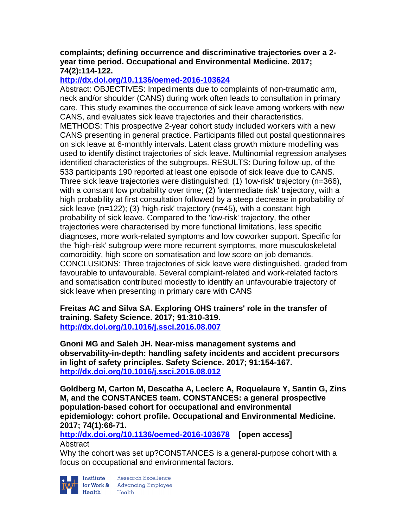## **complaints; defining occurrence and discriminative trajectories over a 2 year time period. Occupational and Environmental Medicine. 2017; 74(2):114-122.**

# **<http://dx.doi.org/10.1136/oemed-2016-103624>**

Abstract: OBJECTIVES: Impediments due to complaints of non-traumatic arm, neck and/or shoulder (CANS) during work often leads to consultation in primary care. This study examines the occurrence of sick leave among workers with new CANS, and evaluates sick leave trajectories and their characteristics. METHODS: This prospective 2-year cohort study included workers with a new CANS presenting in general practice. Participants filled out postal questionnaires on sick leave at 6-monthly intervals. Latent class growth mixture modelling was used to identify distinct trajectories of sick leave. Multinomial regression analyses identified characteristics of the subgroups. RESULTS: During follow-up, of the 533 participants 190 reported at least one episode of sick leave due to CANS. Three sick leave trajectories were distinguished: (1) 'low-risk' trajectory (n=366), with a constant low probability over time; (2) 'intermediate risk' trajectory, with a high probability at first consultation followed by a steep decrease in probability of sick leave (n=122); (3) 'high-risk' trajectory (n=45), with a constant high probability of sick leave. Compared to the 'low-risk' trajectory, the other trajectories were characterised by more functional limitations, less specific diagnoses, more work-related symptoms and low coworker support. Specific for the 'high-risk' subgroup were more recurrent symptoms, more musculoskeletal comorbidity, high score on somatisation and low score on job demands. CONCLUSIONS: Three trajectories of sick leave were distinguished, graded from favourable to unfavourable. Several complaint-related and work-related factors and somatisation contributed modestly to identify an unfavourable trajectory of sick leave when presenting in primary care with CANS

**Freitas AC and Silva SA. Exploring OHS trainers' role in the transfer of training. Safety Science. 2017; 91:310-319. <http://dx.doi.org/10.1016/j.ssci.2016.08.007>**

**Gnoni MG and Saleh JH. Near-miss management systems and observability-in-depth: handling safety incidents and accident precursors in light of safety principles. Safety Science. 2017; 91:154-167. <http://dx.doi.org/10.1016/j.ssci.2016.08.012>**

**Goldberg M, Carton M, Descatha A, Leclerc A, Roquelaure Y, Santin G, Zins M, and the CONSTANCES team. CONSTANCES: a general prospective population-based cohort for occupational and environmental epidemiology: cohort profile. Occupational and Environmental Medicine. 2017; 74(1):66-71.** 

**<http://dx.doi.org/10.1136/oemed-2016-103678>[open access] Abstract** 

Why the cohort was set up?CONSTANCES is a general-purpose cohort with a focus on occupational and environmental factors.



**Institute** Research Excellence<br> **for Work &** Advancing Employee<br> **Health** Health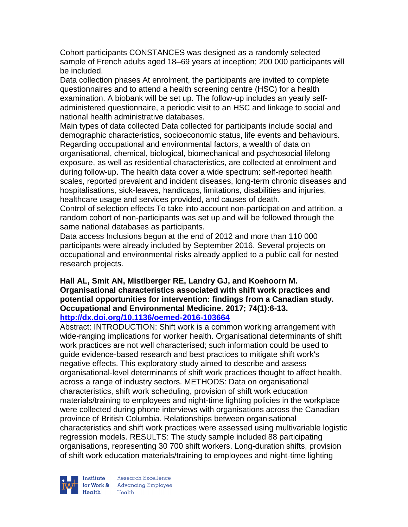Cohort participants CONSTANCES was designed as a randomly selected sample of French adults aged 18–69 years at inception; 200 000 participants will be included.

Data collection phases At enrolment, the participants are invited to complete questionnaires and to attend a health screening centre (HSC) for a health examination. A biobank will be set up. The follow-up includes an yearly selfadministered questionnaire, a periodic visit to an HSC and linkage to social and national health administrative databases.

Main types of data collected Data collected for participants include social and demographic characteristics, socioeconomic status, life events and behaviours. Regarding occupational and environmental factors, a wealth of data on organisational, chemical, biological, biomechanical and psychosocial lifelong exposure, as well as residential characteristics, are collected at enrolment and during follow-up. The health data cover a wide spectrum: self-reported health scales, reported prevalent and incident diseases, long-term chronic diseases and hospitalisations, sick-leaves, handicaps, limitations, disabilities and injuries, healthcare usage and services provided, and causes of death.

Control of selection effects To take into account non-participation and attrition, a random cohort of non-participants was set up and will be followed through the same national databases as participants.

Data access Inclusions begun at the end of 2012 and more than 110 000 participants were already included by September 2016. Several projects on occupational and environmental risks already applied to a public call for nested research projects.

### **Hall AL, Smit AN, Mistlberger RE, Landry GJ, and Koehoorn M. Organisational characteristics associated with shift work practices and potential opportunities for intervention: findings from a Canadian study. Occupational and Environmental Medicine. 2017; 74(1):6-13. <http://dx.doi.org/10.1136/oemed-2016-103664>**

Abstract: INTRODUCTION: Shift work is a common working arrangement with wide-ranging implications for worker health. Organisational determinants of shift work practices are not well characterised; such information could be used to guide evidence-based research and best practices to mitigate shift work's negative effects. This exploratory study aimed to describe and assess organisational-level determinants of shift work practices thought to affect health, across a range of industry sectors. METHODS: Data on organisational characteristics, shift work scheduling, provision of shift work education materials/training to employees and night-time lighting policies in the workplace were collected during phone interviews with organisations across the Canadian province of British Columbia. Relationships between organisational characteristics and shift work practices were assessed using multivariable logistic regression models. RESULTS: The study sample included 88 participating organisations, representing 30 700 shift workers. Long-duration shifts, provision of shift work education materials/training to employees and night-time lighting

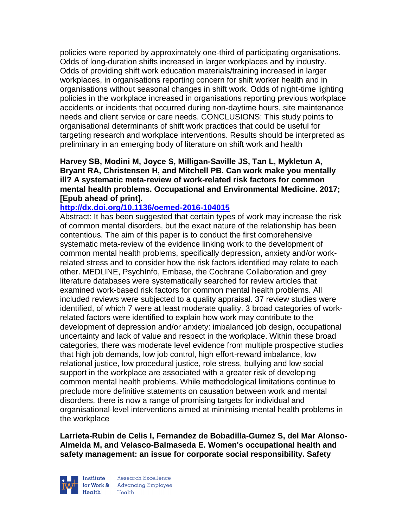policies were reported by approximately one-third of participating organisations. Odds of long-duration shifts increased in larger workplaces and by industry. Odds of providing shift work education materials/training increased in larger workplaces, in organisations reporting concern for shift worker health and in organisations without seasonal changes in shift work. Odds of night-time lighting policies in the workplace increased in organisations reporting previous workplace accidents or incidents that occurred during non-daytime hours, site maintenance needs and client service or care needs. CONCLUSIONS: This study points to organisational determinants of shift work practices that could be useful for targeting research and workplace interventions. Results should be interpreted as preliminary in an emerging body of literature on shift work and health

**Harvey SB, Modini M, Joyce S, Milligan-Saville JS, Tan L, Mykletun A, Bryant RA, Christensen H, and Mitchell PB. Can work make you mentally ill? A systematic meta-review of work-related risk factors for common mental health problems. Occupational and Environmental Medicine. 2017; [Epub ahead of print].**

#### **<http://dx.doi.org/10.1136/oemed-2016-104015>**

Abstract: It has been suggested that certain types of work may increase the risk of common mental disorders, but the exact nature of the relationship has been contentious. The aim of this paper is to conduct the first comprehensive systematic meta-review of the evidence linking work to the development of common mental health problems, specifically depression, anxiety and/or workrelated stress and to consider how the risk factors identified may relate to each other. MEDLINE, PsychInfo, Embase, the Cochrane Collaboration and grey literature databases were systematically searched for review articles that examined work-based risk factors for common mental health problems. All included reviews were subjected to a quality appraisal. 37 review studies were identified, of which 7 were at least moderate quality. 3 broad categories of workrelated factors were identified to explain how work may contribute to the development of depression and/or anxiety: imbalanced job design, occupational uncertainty and lack of value and respect in the workplace. Within these broad categories, there was moderate level evidence from multiple prospective studies that high job demands, low job control, high effort-reward imbalance, low relational justice, low procedural justice, role stress, bullying and low social support in the workplace are associated with a greater risk of developing common mental health problems. While methodological limitations continue to preclude more definitive statements on causation between work and mental disorders, there is now a range of promising targets for individual and organisational-level interventions aimed at minimising mental health problems in the workplace

**Larrieta-Rubin de Celis I, Fernandez de Bobadilla-Gumez S, del Mar Alonso-Almeida M, and Velasco-Balmaseda E. Women's occupational health and safety management: an issue for corporate social responsibility. Safety** 



Research Excellence **Institute** Research Excellence<br> **For Work &**<br>
Marth Harlth Harlth  $H_{\text{eath}}$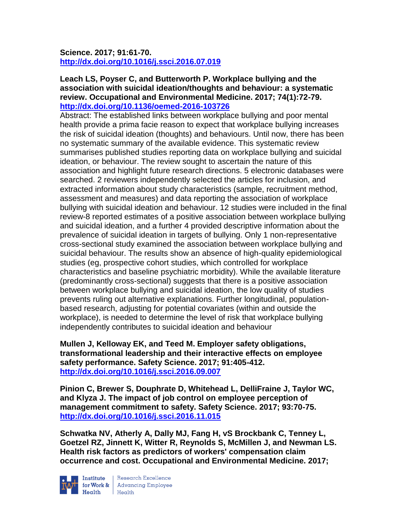# **Science. 2017; 91:61-70. <http://dx.doi.org/10.1016/j.ssci.2016.07.019>**

## **Leach LS, Poyser C, and Butterworth P. Workplace bullying and the association with suicidal ideation/thoughts and behaviour: a systematic review. Occupational and Environmental Medicine. 2017; 74(1):72-79. <http://dx.doi.org/10.1136/oemed-2016-103726>**

Abstract: The established links between workplace bullying and poor mental health provide a prima facie reason to expect that workplace bullying increases the risk of suicidal ideation (thoughts) and behaviours. Until now, there has been no systematic summary of the available evidence. This systematic review summarises published studies reporting data on workplace bullying and suicidal ideation, or behaviour. The review sought to ascertain the nature of this association and highlight future research directions. 5 electronic databases were searched. 2 reviewers independently selected the articles for inclusion, and extracted information about study characteristics (sample, recruitment method, assessment and measures) and data reporting the association of workplace bullying with suicidal ideation and behaviour. 12 studies were included in the final review-8 reported estimates of a positive association between workplace bullying and suicidal ideation, and a further 4 provided descriptive information about the prevalence of suicidal ideation in targets of bullying. Only 1 non-representative cross-sectional study examined the association between workplace bullying and suicidal behaviour. The results show an absence of high-quality epidemiological studies (eg, prospective cohort studies, which controlled for workplace characteristics and baseline psychiatric morbidity). While the available literature (predominantly cross-sectional) suggests that there is a positive association between workplace bullying and suicidal ideation, the low quality of studies prevents ruling out alternative explanations. Further longitudinal, populationbased research, adjusting for potential covariates (within and outside the workplace), is needed to determine the level of risk that workplace bullying independently contributes to suicidal ideation and behaviour

**Mullen J, Kelloway EK, and Teed M. Employer safety obligations, transformational leadership and their interactive effects on employee safety performance. Safety Science. 2017; 91:405-412. <http://dx.doi.org/10.1016/j.ssci.2016.09.007>**

**Pinion C, Brewer S, Douphrate D, Whitehead L, DelliFraine J, Taylor WC, and Klyza J. The impact of job control on employee perception of management commitment to safety. Safety Science. 2017; 93:70-75. <http://dx.doi.org/10.1016/j.ssci.2016.11.015>**

**Schwatka NV, Atherly A, Dally MJ, Fang H, vS Brockbank C, Tenney L, Goetzel RZ, Jinnett K, Witter R, Reynolds S, McMillen J, and Newman LS. Health risk factors as predictors of workers' compensation claim occurrence and cost. Occupational and Environmental Medicine. 2017;** 



Institute Research Excellence<br>
for Work & Advancing Employee<br>
Health<br>
Health Health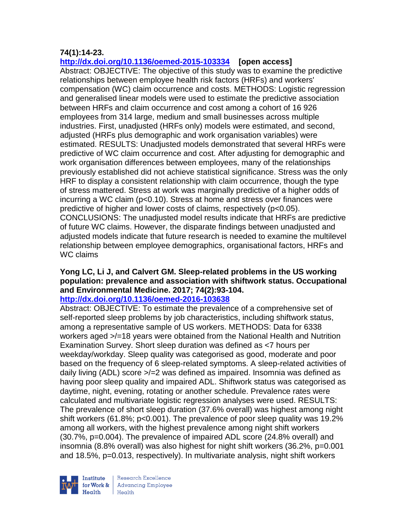# **74(1):14-23.**

**<http://dx.doi.org/10.1136/oemed-2015-103334>[open access]**

Abstract: OBJECTIVE: The objective of this study was to examine the predictive relationships between employee health risk factors (HRFs) and workers' compensation (WC) claim occurrence and costs. METHODS: Logistic regression and generalised linear models were used to estimate the predictive association between HRFs and claim occurrence and cost among a cohort of 16 926 employees from 314 large, medium and small businesses across multiple industries. First, unadjusted (HRFs only) models were estimated, and second, adjusted (HRFs plus demographic and work organisation variables) were estimated. RESULTS: Unadjusted models demonstrated that several HRFs were predictive of WC claim occurrence and cost. After adjusting for demographic and work organisation differences between employees, many of the relationships previously established did not achieve statistical significance. Stress was the only HRF to display a consistent relationship with claim occurrence, though the type of stress mattered. Stress at work was marginally predictive of a higher odds of incurring a WC claim (p<0.10). Stress at home and stress over finances were predictive of higher and lower costs of claims, respectively (p<0.05). CONCLUSIONS: The unadjusted model results indicate that HRFs are predictive of future WC claims. However, the disparate findings between unadjusted and adjusted models indicate that future research is needed to examine the multilevel relationship between employee demographics, organisational factors, HRFs and WC claims

# **Yong LC, Li J, and Calvert GM. Sleep-related problems in the US working population: prevalence and association with shiftwork status. Occupational and Environmental Medicine. 2017; 74(2):93-104.**

## **<http://dx.doi.org/10.1136/oemed-2016-103638>**

Abstract: OBJECTIVE: To estimate the prevalence of a comprehensive set of self-reported sleep problems by job characteristics, including shiftwork status, among a representative sample of US workers. METHODS: Data for 6338 workers aged >/=18 years were obtained from the National Health and Nutrition Examination Survey. Short sleep duration was defined as <7 hours per weekday/workday. Sleep quality was categorised as good, moderate and poor based on the frequency of 6 sleep-related symptoms. A sleep-related activities of daily living (ADL) score >/=2 was defined as impaired. Insomnia was defined as having poor sleep quality and impaired ADL. Shiftwork status was categorised as daytime, night, evening, rotating or another schedule. Prevalence rates were calculated and multivariate logistic regression analyses were used. RESULTS: The prevalence of short sleep duration (37.6% overall) was highest among night shift workers (61.8%; p<0.001). The prevalence of poor sleep quality was 19.2% among all workers, with the highest prevalence among night shift workers (30.7%, p=0.004). The prevalence of impaired ADL score (24.8% overall) and insomnia (8.8% overall) was also highest for night shift workers (36.2%, p=0.001 and 18.5%, p=0.013, respectively). In multivariate analysis, night shift workers